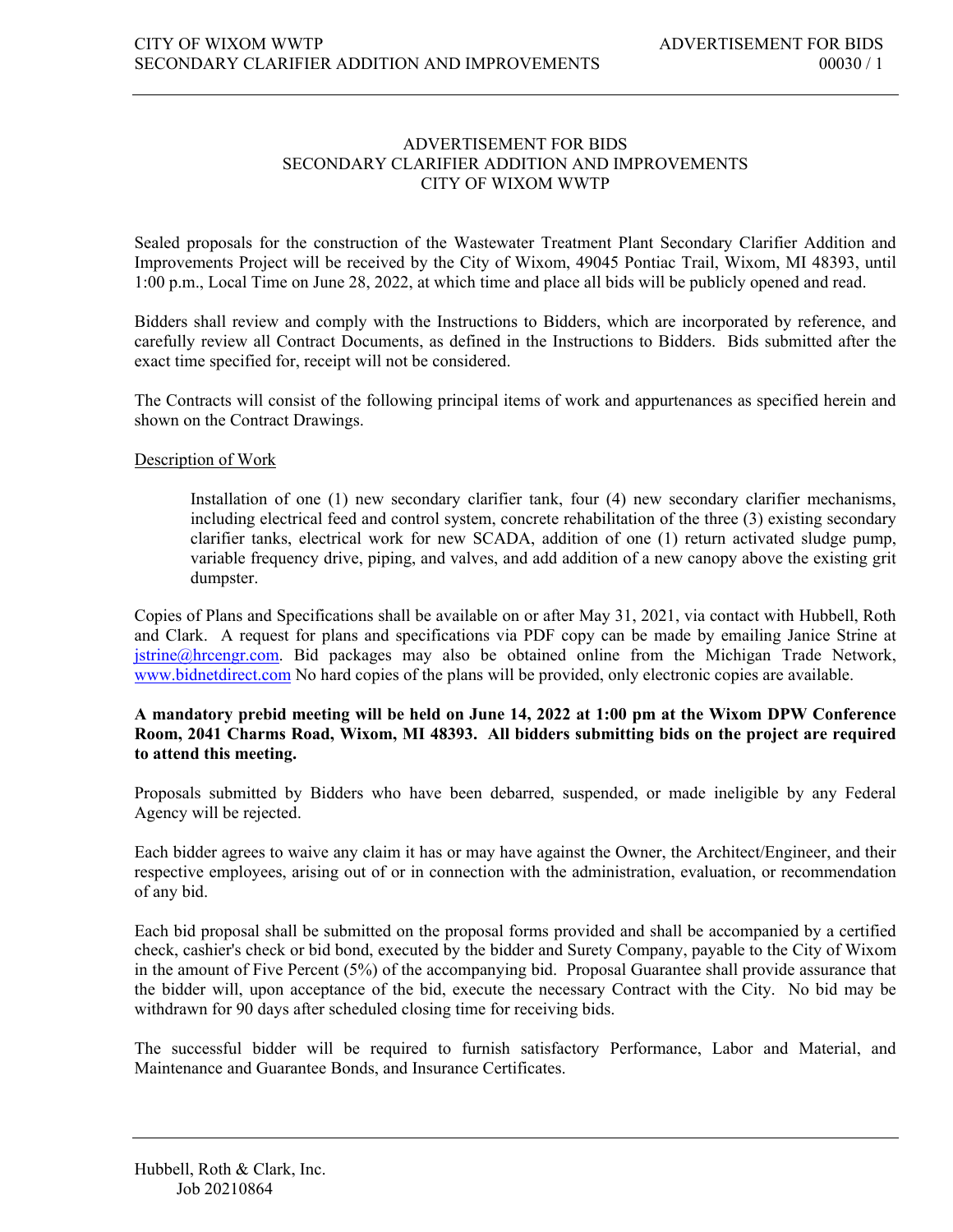## ADVERTISEMENT FOR BIDS SECONDARY CLARIFIER ADDITION AND IMPROVEMENTS CITY OF WIXOM WWTP

Sealed proposals for the construction of the Wastewater Treatment Plant Secondary Clarifier Addition and Improvements Project will be received by the City of Wixom, 49045 Pontiac Trail, Wixom, MI 48393, until 1:00 p.m., Local Time on June 28, 2022, at which time and place all bids will be publicly opened and read.

Bidders shall review and comply with the Instructions to Bidders, which are incorporated by reference, and carefully review all Contract Documents, as defined in the Instructions to Bidders. Bids submitted after the exact time specified for, receipt will not be considered.

The Contracts will consist of the following principal items of work and appurtenances as specified herein and shown on the Contract Drawings.

## Description of Work

Installation of one (1) new secondary clarifier tank, four (4) new secondary clarifier mechanisms, including electrical feed and control system, concrete rehabilitation of the three (3) existing secondary clarifier tanks, electrical work for new SCADA, addition of one (1) return activated sludge pump, variable frequency drive, piping, and valves, and add addition of a new canopy above the existing grit dumpster.

Copies of Plans and Specifications shall be available on or after May 31, 2021, via contact with Hubbell, Roth and Clark. A request for plans and specifications via PDF copy can be made by emailing Janice Strine at [jstrine@hrcengr.com.](mailto:jstrine@hrcengr.com) Bid packages may also be obtained online from the Michigan Trade Network, www.bidnetdirect.com No hard copies of the plans will be provided, only electronic copies are available.

## **A mandatory prebid meeting will be held on June 14, 2022 at 1:00 pm at the Wixom DPW Conference Room, 2041 Charms Road, Wixom, MI 48393. All bidders submitting bids on the project are required to attend this meeting.**

Proposals submitted by Bidders who have been debarred, suspended, or made ineligible by any Federal Agency will be rejected.

Each bidder agrees to waive any claim it has or may have against the Owner, the Architect/Engineer, and their respective employees, arising out of or in connection with the administration, evaluation, or recommendation of any bid.

Each bid proposal shall be submitted on the proposal forms provided and shall be accompanied by a certified check, cashier's check or bid bond, executed by the bidder and Surety Company, payable to the City of Wixom in the amount of Five Percent (5%) of the accompanying bid. Proposal Guarantee shall provide assurance that the bidder will, upon acceptance of the bid, execute the necessary Contract with the City. No bid may be withdrawn for 90 days after scheduled closing time for receiving bids.

The successful bidder will be required to furnish satisfactory Performance, Labor and Material, and Maintenance and Guarantee Bonds, and Insurance Certificates.